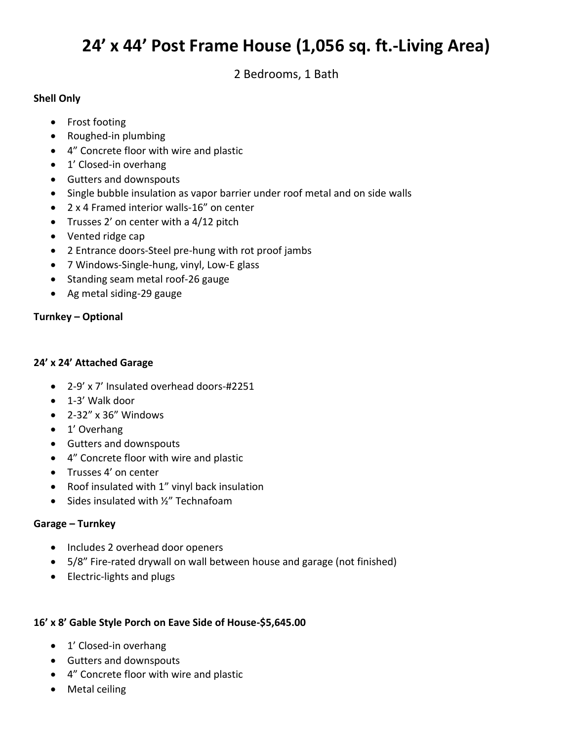# **24' x 44' Post Frame House (1,056 sq. ft.-Living Area)**

2 Bedrooms, 1 Bath

#### **Shell Only**

- Frost footing
- Roughed-in plumbing
- 4" Concrete floor with wire and plastic
- 1' Closed-in overhang
- Gutters and downspouts
- Single bubble insulation as vapor barrier under roof metal and on side walls
- 2 x 4 Framed interior walls-16" on center
- Trusses 2' on center with a 4/12 pitch
- Vented ridge cap
- 2 Entrance doors-Steel pre-hung with rot proof jambs
- 7 Windows-Single-hung, vinyl, Low-E glass
- Standing seam metal roof-26 gauge
- Ag metal siding-29 gauge

# **Turnkey – Optional**

#### **24' x 24' Attached Garage**

- 2-9' x 7' Insulated overhead doors-#2251
- 1-3' Walk door
- 2-32" x 36" Windows
- 1' Overhang
- Gutters and downspouts
- 4" Concrete floor with wire and plastic
- Trusses 4' on center
- Roof insulated with 1" vinyl back insulation
- Sides insulated with 1/2" Technafoam

## **Garage – Turnkey**

- Includes 2 overhead door openers
- 5/8" Fire-rated drywall on wall between house and garage (not finished)
- Electric-lights and plugs

## **16' x 8' Gable Style Porch on Eave Side of House-\$5,645.00**

- 1' Closed-in overhang
- Gutters and downspouts
- 4" Concrete floor with wire and plastic
- Metal ceiling